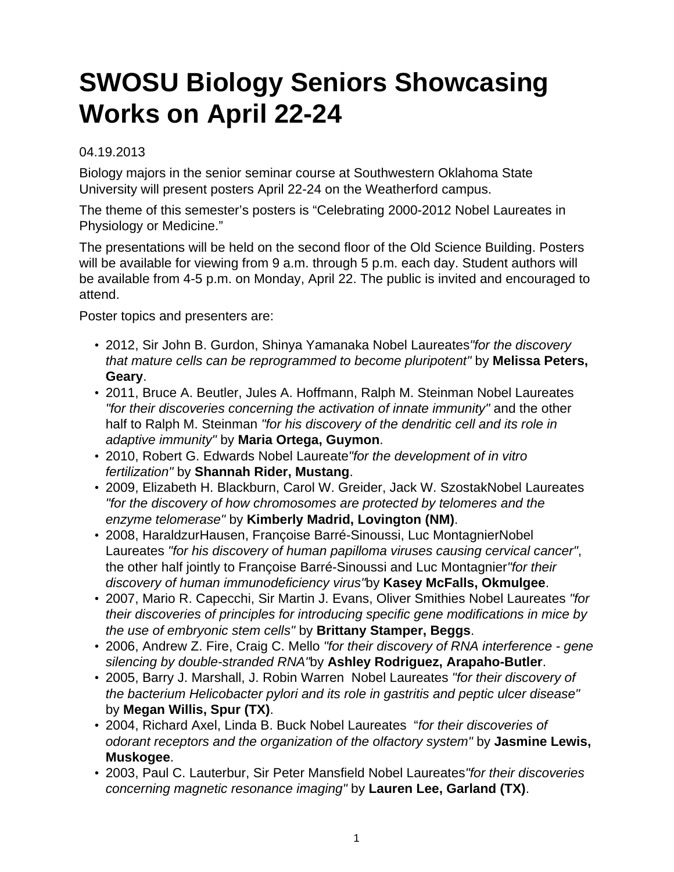## **SWOSU Biology Seniors Showcasing Works on April 22-24**

## 04.19.2013

Biology majors in the senior seminar course at Southwestern Oklahoma State University will present posters April 22-24 on the Weatherford campus.

The theme of this semester's posters is "Celebrating 2000-2012 Nobel Laureates in Physiology or Medicine."

The presentations will be held on the second floor of the Old Science Building. Posters will be available for viewing from 9 a.m. through 5 p.m. each day. Student authors will be available from 4-5 p.m. on Monday, April 22. The public is invited and encouraged to attend.

Poster topics and presenters are:

- 2012, Sir John B. Gurdon, Shinya Yamanaka Nobel Laureates "for the discovery that mature cells can be reprogrammed to become pluripotent" by **Melissa Peters, Geary**.
- 2011, Bruce A. Beutler, Jules A. Hoffmann, Ralph M. Steinman Nobel Laureates "for their discoveries concerning the activation of innate immunity" and the other half to Ralph M. Steinman "for his discovery of the dendritic cell and its role in adaptive immunity" by **Maria Ortega, Guymon**.
- 2010, Robert G. Edwards Nobel Laureate"for the development of in vitro fertilization" by **Shannah Rider, Mustang**.
- 2009, Elizabeth H. Blackburn, Carol W. Greider, Jack W. SzostakNobel Laureates "for the discovery of how chromosomes are protected by telomeres and the enzyme telomerase" by **Kimberly Madrid, Lovington (NM)**.
- 2008, HaraldzurHausen, Françoise Barré-Sinoussi, Luc MontagnierNobel Laureates "for his discovery of human papilloma viruses causing cervical cancer", the other half jointly to Françoise Barré-Sinoussi and Luc Montagnier"for their discovery of human immunodeficiency virus"by **Kasey McFalls, Okmulgee**.
- 2007, Mario R. Capecchi, Sir Martin J. Evans, Oliver Smithies Nobel Laureates "for their discoveries of principles for introducing specific gene modifications in mice by the use of embryonic stem cells" by **Brittany Stamper, Beggs**.
- 2006, Andrew Z. Fire, Craig C. Mello "for their discovery of RNA interference gene silencing by double-stranded RNA"by **Ashley Rodriguez, Arapaho-Butler**.
- 2005, Barry J. Marshall, J. Robin Warren Nobel Laureates "for their discovery of the bacterium Helicobacter pylori and its role in gastritis and peptic ulcer disease" by **Megan Willis, Spur (TX)**.
- 2004, Richard Axel, Linda B. Buck Nobel Laureates "for their discoveries of odorant receptors and the organization of the olfactory system" by **Jasmine Lewis, Muskogee**.
- 2003, Paul C. Lauterbur, Sir Peter Mansfield Nobel Laureates"for their discoveries concerning magnetic resonance imaging" by **Lauren Lee, Garland (TX)**.